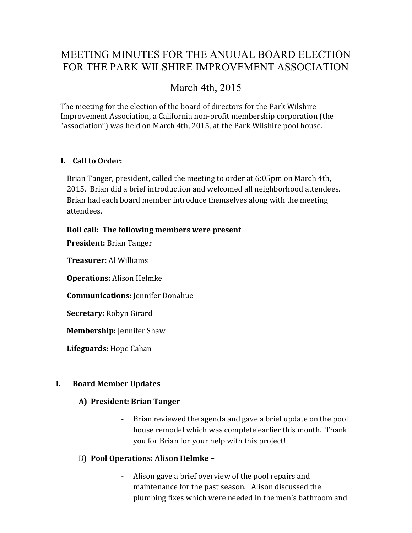# MEETING MINUTES FOR THE ANUUAL BOARD ELECTION FOR THE PARK WILSHIRE IMPROVEMENT ASSOCIATION

# March 4th, 2015

The meeting for the election of the board of directors for the Park Wilshire Improvement Association, a California non-profit membership corporation (the "association") was held on March 4th, 2015, at the Park Wilshire pool house.

# **I. Call to Order:**

Brian Tanger, president, called the meeting to order at 6:05pm on March 4th, 2015. Brian did a brief introduction and welcomed all neighborhood attendees. Brian had each board member introduce themselves along with the meeting attendees.

# **Roll call: The following members were present**

**President:** Brian Tanger

**Treasurer:** Al Williams

**Operations:** Alison Helmke

**Communications:** Jennifer Donahue

**Secretary:** Robyn Girard

**Membership:** Jennifer Shaw

**Lifeguards:** Hope Cahan

# **I. Board Member Updates**

# **A) President: Brian Tanger**

- Brian reviewed the agenda and gave a brief update on the pool house remodel which was complete earlier this month. Thank you for Brian for your help with this project!

# B) **Pool Operations: Alison Helmke –**

Alison gave a brief overview of the pool repairs and maintenance for the past season. Alison discussed the plumbing fixes which were needed in the men's bathroom and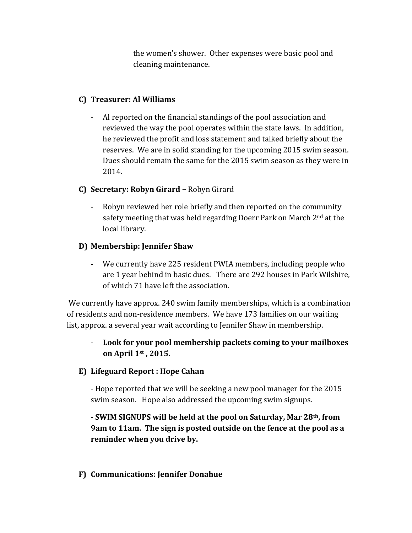the women's shower. Other expenses were basic pool and cleaning maintenance.

### **C) Treasurer: Al Williams**

- Al reported on the financial standings of the pool association and reviewed the way the pool operates within the state laws. In addition, he reviewed the profit and loss statement and talked briefly about the reserves. We are in solid standing for the upcoming 2015 swim season. Dues should remain the same for the 2015 swim season as they were in 2014.

#### **C) Secretary: Robyn Girard –** Robyn Girard

- Robyn reviewed her role briefly and then reported on the community safety meeting that was held regarding Doerr Park on March 2<sup>nd</sup> at the local library.

#### **D) Membership: Jennifer Shaw**

- We currently have 225 resident PWIA members, including people who are 1 year behind in basic dues. There are 292 houses in Park Wilshire, of which 71 have left the association.

We currently have approx. 240 swim family memberships, which is a combination of residents and non-residence members. We have 173 families on our waiting list, approx. a several year wait according to Jennifer Shaw in membership.

# - **Look for your pool membership packets coming to your mailboxes on April 1st , 2015.**

#### **E) Lifeguard Report : Hope Cahan**

- Hope reported that we will be seeking a new pool manager for the 2015 swim season. Hope also addressed the upcoming swim signups.

# - **SWIM SIGNUPS will be held at the pool on Saturday, Mar 28th, from 9am to 11am. The sign is posted outside on the fence at the pool as a reminder when you drive by.**

#### **F) Communications: Jennifer Donahue**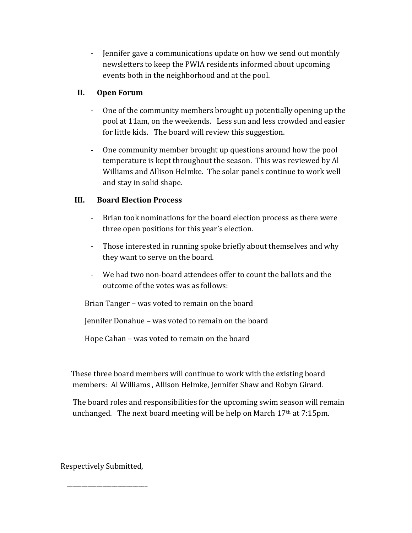- Jennifer gave a communications update on how we send out monthly newsletters to keep the PWIA residents informed about upcoming events both in the neighborhood and at the pool.

### **II. Open Forum**

- One of the community members brought up potentially opening up the pool at 11am, on the weekends. Less sun and less crowded and easier for little kids. The board will review this suggestion.
- One community member brought up questions around how the pool temperature is kept throughout the season. This was reviewed by Al Williams and Allison Helmke. The solar panels continue to work well and stay in solid shape.

# **III. Board Election Process**

- Brian took nominations for the board election process as there were three open positions for this year's election.
- Those interested in running spoke briefly about themselves and why they want to serve on the board.
- We had two non-board attendees offer to count the ballots and the outcome of the votes was as follows:

Brian Tanger – was voted to remain on the board

Jennifer Donahue – was voted to remain on the board

Hope Cahan – was voted to remain on the board

 These three board members will continue to work with the existing board members: Al Williams , Allison Helmke, Jennifer Shaw and Robyn Girard.

 The board roles and responsibilities for the upcoming swim season will remain unchanged. The next board meeting will be help on March  $17<sup>th</sup>$  at  $7:15<sup>pm</sup>$ .

Respectively Submitted,

\_\_\_\_\_\_\_\_\_\_\_\_\_\_\_\_\_\_\_\_\_\_\_\_\_\_\_